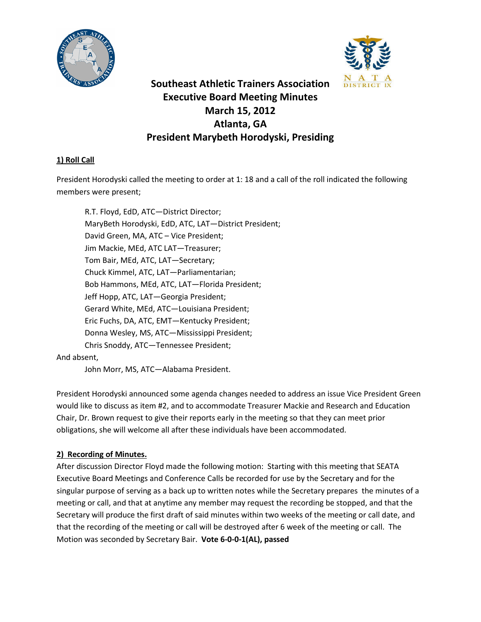



# **Southeast Athletic Trainers Association Executive Board Meeting Minutes March 15, 2012 Atlanta, GA President Marybeth Horodyski, Presiding**

# **1) Roll Call**

President Horodyski called the meeting to order at 1: 18 and a call of the roll indicated the following members were present;

R.T. Floyd, EdD, ATC—District Director; MaryBeth Horodyski, EdD, ATC, LAT—District President; David Green, MA, ATC – Vice President; Jim Mackie, MEd, ATC LAT—Treasurer; Tom Bair, MEd, ATC, LAT—Secretary; Chuck Kimmel, ATC, LAT—Parliamentarian; Bob Hammons, MEd, ATC, LAT—Florida President; Jeff Hopp, ATC, LAT—Georgia President; Gerard White, MEd, ATC—Louisiana President; Eric Fuchs, DA, ATC, EMT—Kentucky President; Donna Wesley, MS, ATC—Mississippi President; Chris Snoddy, ATC—Tennessee President;

### And absent,

John Morr, MS, ATC—Alabama President.

President Horodyski announced some agenda changes needed to address an issue Vice President Green would like to discuss as item #2, and to accommodate Treasurer Mackie and Research and Education Chair, Dr. Brown request to give their reports early in the meeting so that they can meet prior obligations, she will welcome all after these individuals have been accommodated.

# **2) Recording of Minutes.**

After discussion Director Floyd made the following motion: Starting with this meeting that SEATA Executive Board Meetings and Conference Calls be recorded for use by the Secretary and for the singular purpose of serving as a back up to written notes while the Secretary prepares the minutes of a meeting or call, and that at anytime any member may request the recording be stopped, and that the Secretary will produce the first draft of said minutes within two weeks of the meeting or call date, and that the recording of the meeting or call will be destroyed after 6 week of the meeting or call. The Motion was seconded by Secretary Bair. **Vote 6-0-0-1(AL), passed**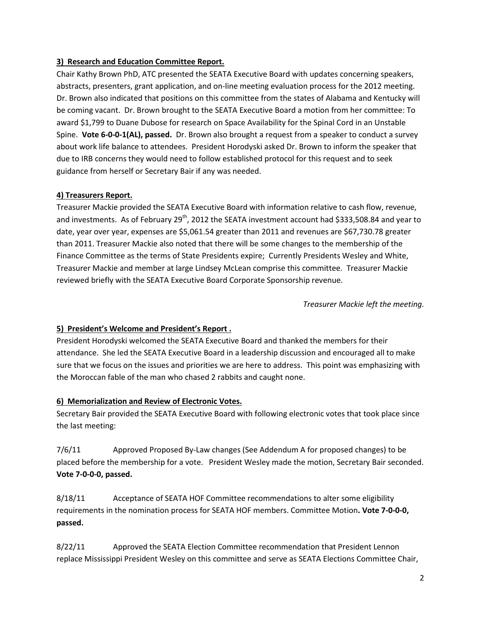### **3) Research and Education Committee Report.**

Chair Kathy Brown PhD, ATC presented the SEATA Executive Board with updates concerning speakers, abstracts, presenters, grant application, and on-line meeting evaluation process for the 2012 meeting. Dr. Brown also indicated that positions on this committee from the states of Alabama and Kentucky will be coming vacant. Dr. Brown brought to the SEATA Executive Board a motion from her committee: To award \$1,799 to Duane Dubose for research on Space Availability for the Spinal Cord in an Unstable Spine. **Vote 6-0-0-1(AL), passed.** Dr. Brown also brought a request from a speaker to conduct a survey about work life balance to attendees. President Horodyski asked Dr. Brown to inform the speaker that due to IRB concerns they would need to follow established protocol for this request and to seek guidance from herself or Secretary Bair if any was needed.

### **4) Treasurers Report.**

Treasurer Mackie provided the SEATA Executive Board with information relative to cash flow, revenue, and investments. As of February 29<sup>th</sup>, 2012 the SEATA investment account had \$333,508.84 and year to date, year over year, expenses are \$5,061.54 greater than 2011 and revenues are \$67,730.78 greater than 2011. Treasurer Mackie also noted that there will be some changes to the membership of the Finance Committee as the terms of State Presidents expire; Currently Presidents Wesley and White, Treasurer Mackie and member at large Lindsey McLean comprise this committee. Treasurer Mackie reviewed briefly with the SEATA Executive Board Corporate Sponsorship revenue.

*Treasurer Mackie left the meeting.*

### **5) President's Welcome and President's Report .**

President Horodyski welcomed the SEATA Executive Board and thanked the members for their attendance. She led the SEATA Executive Board in a leadership discussion and encouraged all to make sure that we focus on the issues and priorities we are here to address. This point was emphasizing with the Moroccan fable of the man who chased 2 rabbits and caught none.

### **6) Memorialization and Review of Electronic Votes.**

Secretary Bair provided the SEATA Executive Board with following electronic votes that took place since the last meeting:

7/6/11 Approved Proposed By-Law changes (See Addendum A for proposed changes) to be placed before the membership for a vote. President Wesley made the motion, Secretary Bair seconded. **Vote 7-0-0-0, passed.** 

8/18/11 Acceptance of SEATA HOF Committee recommendations to alter some eligibility requirements in the nomination process for SEATA HOF members. Committee Motion**. Vote 7-0-0-0, passed.**

8/22/11 Approved the SEATA Election Committee recommendation that President Lennon replace Mississippi President Wesley on this committee and serve as SEATA Elections Committee Chair,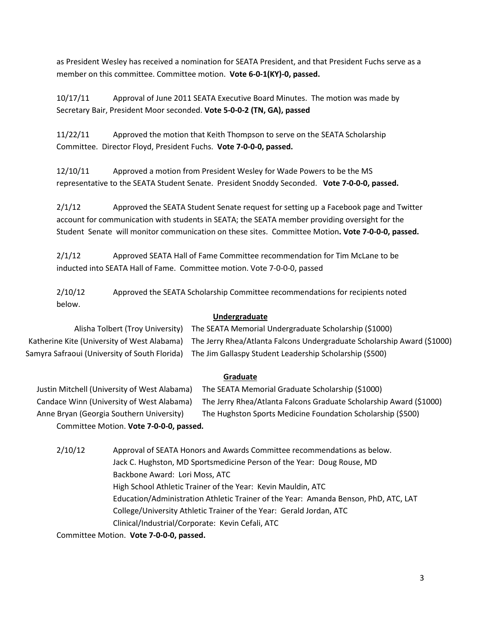as President Wesley has received a nomination for SEATA President, and that President Fuchs serve as a member on this committee. Committee motion. **Vote 6-0-1(KY)-0, passed.**

10/17/11 Approval of June 2011 SEATA Executive Board Minutes. The motion was made by Secretary Bair, President Moor seconded. **Vote 5-0-0-2 (TN, GA), passed**

11/22/11 Approved the motion that Keith Thompson to serve on the SEATA Scholarship Committee. Director Floyd, President Fuchs. **Vote 7-0-0-0, passed.**

12/10/11 Approved a motion from President Wesley for Wade Powers to be the MS representative to the SEATA Student Senate. President Snoddy Seconded. **Vote 7-0-0-0, passed.**

2/1/12 Approved the SEATA Student Senate request for setting up a Facebook page and Twitter account for communication with students in SEATA; the SEATA member providing oversight for the Student Senate will monitor communication on these sites. Committee Motion**. Vote 7-0-0-0, passed.**

2/1/12 Approved SEATA Hall of Fame Committee recommendation for Tim McLane to be inducted into SEATA Hall of Fame. Committee motion. Vote 7-0-0-0, passed

2/10/12 Approved the SEATA Scholarship Committee recommendations for recipients noted below.

### **Undergraduate**

Alisha Tolbert (Troy University) The SEATA Memorial Undergraduate Scholarship (\$1000) Katherine Kite (University of West Alabama) The Jerry Rhea/Atlanta Falcons Undergraduate Scholarship Award (\$1000) Samyra Safraoui (University of South Florida) The Jim Gallaspy Student Leadership Scholarship (\$500)

### **Graduate**

Justin Mitchell (University of West Alabama) The SEATA Memorial Graduate Scholarship (\$1000) Candace Winn (University of West Alabama) The Jerry Rhea/Atlanta Falcons Graduate Scholarship Award (\$1000) Anne Bryan (Georgia Southern University) The Hughston Sports Medicine Foundation Scholarship (\$500) Committee Motion. **Vote 7-0-0-0, passed.**

2/10/12 Approval of SEATA Honors and Awards Committee recommendations as below. Jack C. Hughston, MD Sportsmedicine Person of the Year: Doug Rouse, MD Backbone Award: Lori Moss, ATC High School Athletic Trainer of the Year: Kevin Mauldin, ATC Education/Administration Athletic Trainer of the Year: Amanda Benson, PhD, ATC, LAT College/University Athletic Trainer of the Year: Gerald Jordan, ATC Clinical/Industrial/Corporate: Kevin Cefali, ATC

Committee Motion. **Vote 7-0-0-0, passed.**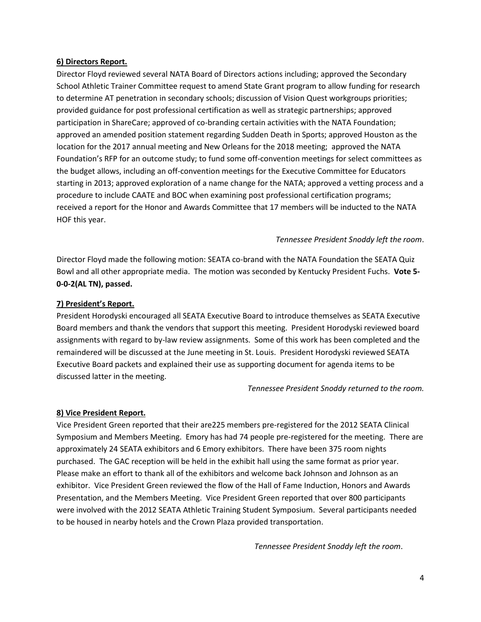#### **6) Directors Report.**

Director Floyd reviewed several NATA Board of Directors actions including; approved the Secondary School Athletic Trainer Committee request to amend State Grant program to allow funding for research to determine AT penetration in secondary schools; discussion of Vision Quest workgroups priorities; provided guidance for post professional certification as well as strategic partnerships; approved participation in ShareCare; approved of co-branding certain activities with the NATA Foundation; approved an amended position statement regarding Sudden Death in Sports; approved Houston as the location for the 2017 annual meeting and New Orleans for the 2018 meeting; approved the NATA Foundation's RFP for an outcome study; to fund some off-convention meetings for select committees as the budget allows, including an off-convention meetings for the Executive Committee for Educators starting in 2013; approved exploration of a name change for the NATA; approved a vetting process and a procedure to include CAATE and BOC when examining post professional certification programs; received a report for the Honor and Awards Committee that 17 members will be inducted to the NATA HOF this year.

#### *Tennessee President Snoddy left the room*.

Director Floyd made the following motion: SEATA co-brand with the NATA Foundation the SEATA Quiz Bowl and all other appropriate media. The motion was seconded by Kentucky President Fuchs. **Vote 5- 0-0-2(AL TN), passed.**

#### **7) President's Report.**

President Horodyski encouraged all SEATA Executive Board to introduce themselves as SEATA Executive Board members and thank the vendors that support this meeting. President Horodyski reviewed board assignments with regard to by-law review assignments. Some of this work has been completed and the remaindered will be discussed at the June meeting in St. Louis. President Horodyski reviewed SEATA Executive Board packets and explained their use as supporting document for agenda items to be discussed latter in the meeting.

*Tennessee President Snoddy returned to the room.*

#### **8) Vice President Report.**

Vice President Green reported that their are225 members pre-registered for the 2012 SEATA Clinical Symposium and Members Meeting. Emory has had 74 people pre-registered for the meeting. There are approximately 24 SEATA exhibitors and 6 Emory exhibitors. There have been 375 room nights purchased. The GAC reception will be held in the exhibit hall using the same format as prior year. Please make an effort to thank all of the exhibitors and welcome back Johnson and Johnson as an exhibitor. Vice President Green reviewed the flow of the Hall of Fame Induction, Honors and Awards Presentation, and the Members Meeting. Vice President Green reported that over 800 participants were involved with the 2012 SEATA Athletic Training Student Symposium. Several participants needed to be housed in nearby hotels and the Crown Plaza provided transportation.

*Tennessee President Snoddy left the room*.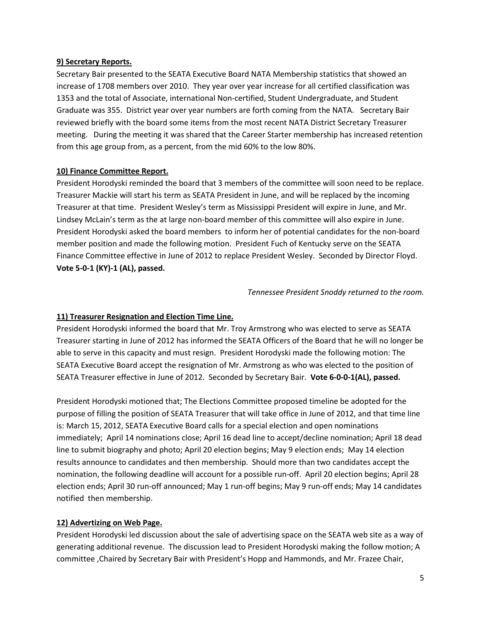#### **9) Secretary Reports.**

Secretary Bair presented to the SEATA Executive Board NATA Membership statistics that showed an increase of 1708 members over 2010. They year over year increase for all certified classification was 1353 and the total of Associate, international Non-certified, Student Undergraduate, and Student Graduate was 355. District year over year numbers are forth coming from the NATA. Secretary Bair reviewed briefly with the board some items from the most recent NATA District Secretary Treasurer meeting. During the meeting it was shared that the Career Starter membership has increased retention from this age group from, as a percent, from the mid 60% to the low 80%.

### **10) Finance Committee Report.**

President Horodyski reminded the board that 3 members of the committee will soon need to be replace. Treasurer Mackie will start his term as SEATA President in June, and will be replaced by the incoming Treasurer at that time. President Wesley's term as Mississippi President will expire in June, and Mr. Lindsey McLain's term as the at large non-board member of this committee will also expire in June. President Horodyski asked the board members to inform her of potential candidates for the non-board member position and made the following motion. President Fuch of Kentucky serve on the SEATA Finance Committee effective in June of 2012 to replace President Wesley. Seconded by Director Floyd. **Vote 5-0-1 (KY)-1 (AL), passed.**

*Tennessee President Snoddy returned to the room.*

### **11) Treasurer Resignation and Election Time Line.**

President Horodyski informed the board that Mr. Troy Armstrong who was elected to serve as SEATA Treasurer starting in June of 2012 has informed the SEATA Officers of the Board that he will no longer be able to serve in this capacity and must resign. President Horodyski made the following motion: The SEATA Executive Board accept the resignation of Mr. Armstrong as who was elected to the position of SEATA Treasurer effective in June of 2012. Seconded by Secretary Bair. **Vote 6-0-0-1(AL), passed.** 

President Horodyski motioned that; The Elections Committee proposed timeline be adopted for the purpose of filling the position of SEATA Treasurer that will take office in June of 2012, and that time line is: March 15, 2012, SEATA Executive Board calls for a special election and open nominations immediately; April 14 nominations close; April 16 dead line to accept/decline nomination; April 18 dead line to submit biography and photo; April 20 election begins; May 9 election ends; May 14 election results announce to candidates and then membership. Should more than two candidates accept the nomination, the following deadline will account for a possible run-off. April 20 election begins; April 28 election ends; April 30 run-off announced; May 1 run-off begins; May 9 run-off ends; May 14 candidates notified then membership.

### **12) Advertizing on Web Page.**

President Horodyski led discussion about the sale of advertising space on the SEATA web site as a way of generating additional revenue. The discussion lead to President Horodyski making the follow motion; A committee ,Chaired by Secretary Bair with President's Hopp and Hammonds, and Mr. Frazee Chair,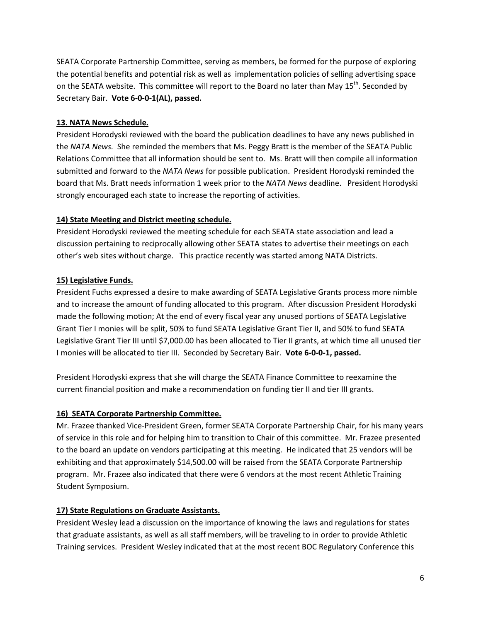SEATA Corporate Partnership Committee, serving as members, be formed for the purpose of exploring the potential benefits and potential risk as well as implementation policies of selling advertising space on the SEATA website. This committee will report to the Board no later than May 15<sup>th</sup>. Seconded by Secretary Bair. **Vote 6-0-0-1(AL), passed.**

### **13. NATA News Schedule.**

President Horodyski reviewed with the board the publication deadlines to have any news published in the *NATA News.* She reminded the members that Ms. Peggy Bratt is the member of the SEATA Public Relations Committee that all information should be sent to. Ms. Bratt will then compile all information submitted and forward to the *NATA News* for possible publication. President Horodyski reminded the board that Ms. Bratt needs information 1 week prior to the *NATA News* deadline. President Horodyski strongly encouraged each state to increase the reporting of activities.

### **14) State Meeting and District meeting schedule.**

President Horodyski reviewed the meeting schedule for each SEATA state association and lead a discussion pertaining to reciprocally allowing other SEATA states to advertise their meetings on each other's web sites without charge. This practice recently was started among NATA Districts.

### **15) Legislative Funds.**

President Fuchs expressed a desire to make awarding of SEATA Legislative Grants process more nimble and to increase the amount of funding allocated to this program. After discussion President Horodyski made the following motion; At the end of every fiscal year any unused portions of SEATA Legislative Grant Tier I monies will be split, 50% to fund SEATA Legislative Grant Tier II, and 50% to fund SEATA Legislative Grant Tier III until \$7,000.00 has been allocated to Tier II grants, at which time all unused tier I monies will be allocated to tier III. Seconded by Secretary Bair. **Vote 6-0-0-1, passed.**

President Horodyski express that she will charge the SEATA Finance Committee to reexamine the current financial position and make a recommendation on funding tier II and tier III grants.

### **16) SEATA Corporate Partnership Committee.**

Mr. Frazee thanked Vice-President Green, former SEATA Corporate Partnership Chair, for his many years of service in this role and for helping him to transition to Chair of this committee. Mr. Frazee presented to the board an update on vendors participating at this meeting. He indicated that 25 vendors will be exhibiting and that approximately \$14,500.00 will be raised from the SEATA Corporate Partnership program. Mr. Frazee also indicated that there were 6 vendors at the most recent Athletic Training Student Symposium.

### **17) State Regulations on Graduate Assistants.**

President Wesley lead a discussion on the importance of knowing the laws and regulations for states that graduate assistants, as well as all staff members, will be traveling to in order to provide Athletic Training services. President Wesley indicated that at the most recent BOC Regulatory Conference this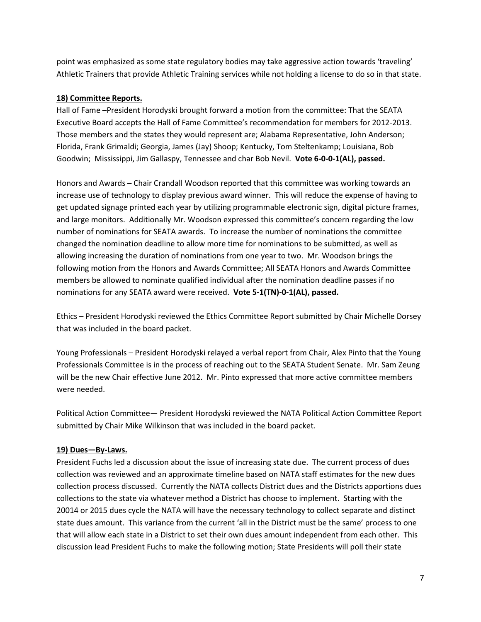point was emphasized as some state regulatory bodies may take aggressive action towards 'traveling' Athletic Trainers that provide Athletic Training services while not holding a license to do so in that state.

### **18) Committee Reports.**

Hall of Fame –President Horodyski brought forward a motion from the committee: That the SEATA Executive Board accepts the Hall of Fame Committee's recommendation for members for 2012-2013. Those members and the states they would represent are; Alabama Representative, John Anderson; Florida, Frank Grimaldi; Georgia, James (Jay) Shoop; Kentucky, Tom Steltenkamp; Louisiana, Bob Goodwin; Mississippi, Jim Gallaspy, Tennessee and char Bob Nevil. **Vote 6-0-0-1(AL), passed.**

Honors and Awards – Chair Crandall Woodson reported that this committee was working towards an increase use of technology to display previous award winner. This will reduce the expense of having to get updated signage printed each year by utilizing programmable electronic sign, digital picture frames, and large monitors. Additionally Mr. Woodson expressed this committee's concern regarding the low number of nominations for SEATA awards. To increase the number of nominations the committee changed the nomination deadline to allow more time for nominations to be submitted, as well as allowing increasing the duration of nominations from one year to two. Mr. Woodson brings the following motion from the Honors and Awards Committee; All SEATA Honors and Awards Committee members be allowed to nominate qualified individual after the nomination deadline passes if no nominations for any SEATA award were received. **Vote 5-1(TN)-0-1(AL), passed.**

Ethics – President Horodyski reviewed the Ethics Committee Report submitted by Chair Michelle Dorsey that was included in the board packet.

Young Professionals – President Horodyski relayed a verbal report from Chair, Alex Pinto that the Young Professionals Committee is in the process of reaching out to the SEATA Student Senate. Mr. Sam Zeung will be the new Chair effective June 2012. Mr. Pinto expressed that more active committee members were needed.

Political Action Committee— President Horodyski reviewed the NATA Political Action Committee Report submitted by Chair Mike Wilkinson that was included in the board packet.

### **19) Dues—By-Laws.**

President Fuchs led a discussion about the issue of increasing state due. The current process of dues collection was reviewed and an approximate timeline based on NATA staff estimates for the new dues collection process discussed. Currently the NATA collects District dues and the Districts apportions dues collections to the state via whatever method a District has choose to implement. Starting with the 20014 or 2015 dues cycle the NATA will have the necessary technology to collect separate and distinct state dues amount. This variance from the current 'all in the District must be the same' process to one that will allow each state in a District to set their own dues amount independent from each other. This discussion lead President Fuchs to make the following motion; State Presidents will poll their state